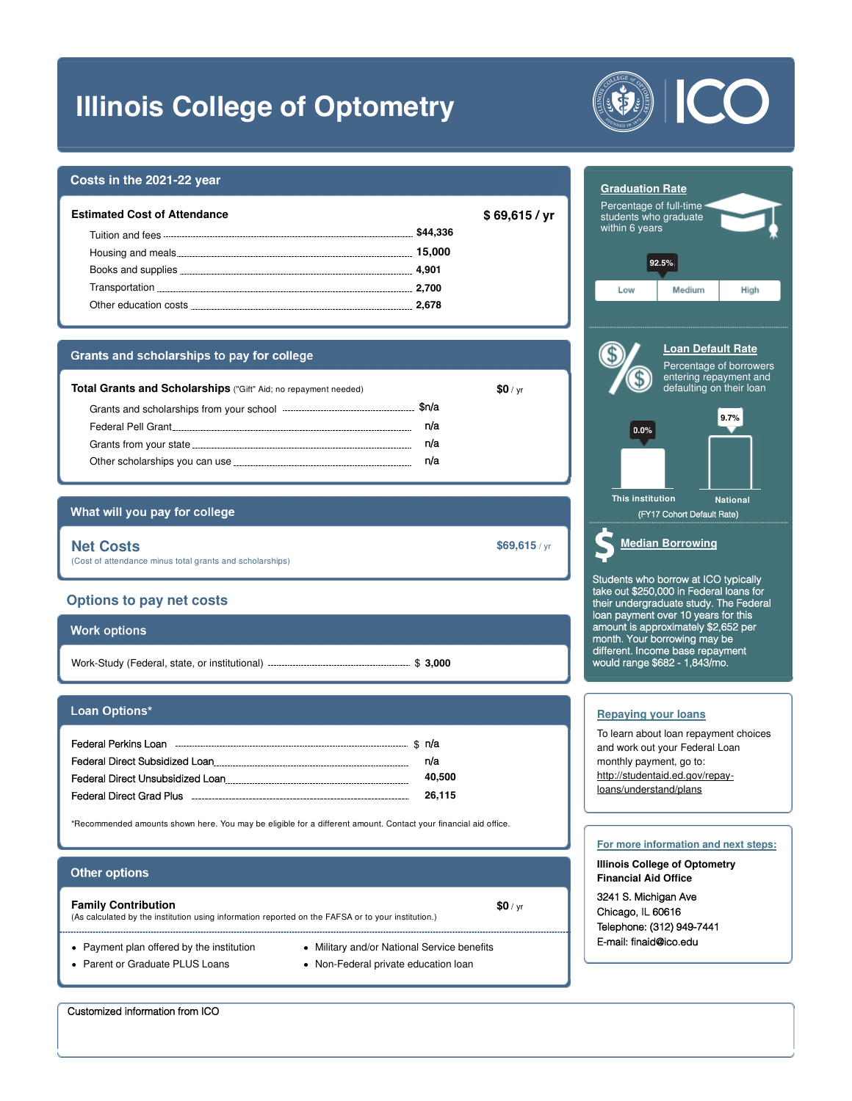# **Illinois College of Optometry**

### **Costs in the 2021-22 year**

| \$44,336<br>15.000<br>Housing and meals<br>4.901<br>Transportation <b>Executive Contract of Australian</b> Contract and Transportation<br>2.700<br>2.678<br>Other education costs | Estimated Cost of Attendance | \$69,615 / yr |
|-----------------------------------------------------------------------------------------------------------------------------------------------------------------------------------|------------------------------|---------------|
|                                                                                                                                                                                   |                              |               |
|                                                                                                                                                                                   |                              |               |
|                                                                                                                                                                                   |                              |               |
|                                                                                                                                                                                   |                              |               |
|                                                                                                                                                                                   |                              |               |

#### Grants and scholarships to pay for college

| <b>Total Grants and Scholarships</b> ("Gift" Aid; no repayment needed)                                                                                                                                                              |      | SOI/vr |
|-------------------------------------------------------------------------------------------------------------------------------------------------------------------------------------------------------------------------------------|------|--------|
| Grants and scholarships from your school <b>example 2</b>                                                                                                                                                                           | Sn/a |        |
| Federal Pell Grant Andrew Pederal Pell Grant                                                                                                                                                                                        | n/a  |        |
| Grants from your state <b>contained</b> and the state of the state of the state of the state of the state of the state of the state of the state of the state of the state of the state of the state of the state of the state of t | n/a  |        |
| Other scholarships you can use                                                                                                                                                                                                      | n/a  |        |

## What will you pay for college

**Net Costs \$69,615** / yr (Cost of attendance minus total grants and scholarships)

### **Options to pay net costs**

| <b>Work options</b> |           |
|---------------------|-----------|
|                     | ։ \$3.000 |

#### Loan Options\*

| Federal Perkins Loan             | \$ n/a |
|----------------------------------|--------|
| Federal Direct Subsidized Loan   | n/a    |
| Federal Direct Unsubsidized Loan | 40.500 |
| Federal Direct Grad Plus         | 26,115 |

\*Recommended amounts shown here. You may be eligible for a different amount. Contact your financial aid office.

#### **Other options**

#### **Family Contribution \$0** / yr

(As calculated by the institution using information reported on the FAFSA or to your institution.)

- Payment plan offered by the institution
- Parent or Graduate PLUS Loans
- Military and/or National Service benefits
- Non-Federal private education loan





3241 S. Michigan Ave Chicago, IL 60616 Telephone: (312) 949-7441 E-mail: finaid@ico.edu

Customized information from ICO